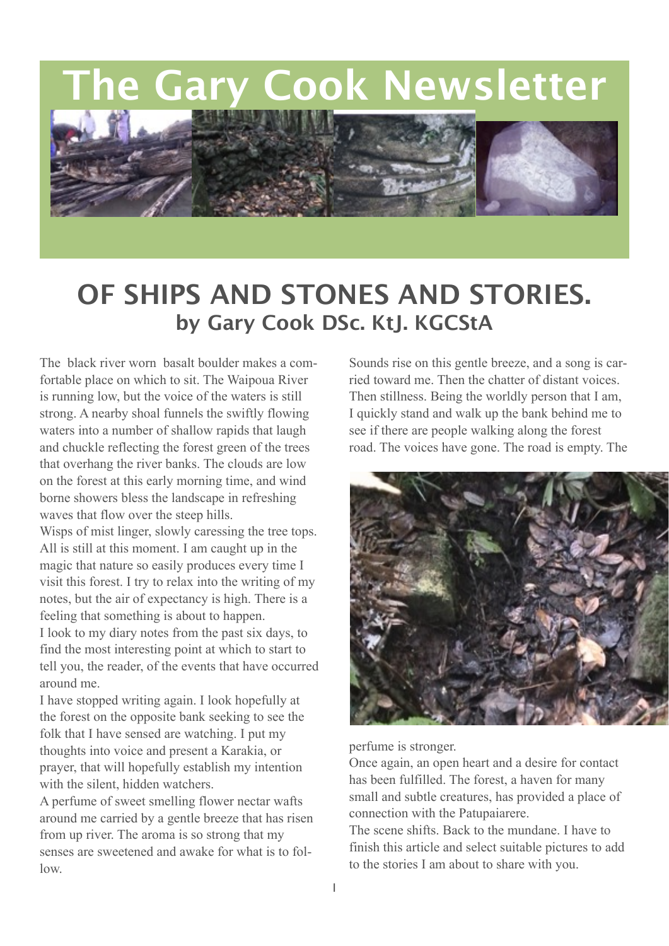**The Gary Cook Newsletter**



## **OF SHIPS AND STONES AND STORIES. by Gary Cook DSc. KtJ. KGCStA**

The black river worn basalt boulder makes a comfortable place on which to sit. The Waipoua River is running low, but the voice of the waters is still strong. A nearby shoal funnels the swiftly flowing waters into a number of shallow rapids that laugh and chuckle reflecting the forest green of the trees that overhang the river banks. The clouds are low on the forest at this early morning time, and wind borne showers bless the landscape in refreshing waves that flow over the steep hills.

Wisps of mist linger, slowly caressing the tree tops. All is still at this moment. I am caught up in the magic that nature so easily produces every time I visit this forest. I try to relax into the writing of my notes, but the air of expectancy is high. There is a feeling that something is about to happen. I look to my diary notes from the past six days, to find the most interesting point at which to start to

tell you, the reader, of the events that have occurred around me.

I have stopped writing again. I look hopefully at the forest on the opposite bank seeking to see the folk that I have sensed are watching. I put my thoughts into voice and present a Karakia, or prayer, that will hopefully establish my intention with the silent, hidden watchers.

A perfume of sweet smelling flower nectar wafts around me carried by a gentle breeze that has risen from up river. The aroma is so strong that my senses are sweetened and awake for what is to follow.

Sounds rise on this gentle breeze, and a song is carried toward me. Then the chatter of distant voices. Then stillness. Being the worldly person that I am, I quickly stand and walk up the bank behind me to see if there are people walking along the forest road. The voices have gone. The road is empty. The



perfume is stronger.

Once again, an open heart and a desire for contact has been fulfilled. The forest, a haven for many small and subtle creatures, has provided a place of connection with the Patupaiarere.

The scene shifts. Back to the mundane. I have to finish this article and select suitable pictures to add to the stories I am about to share with you.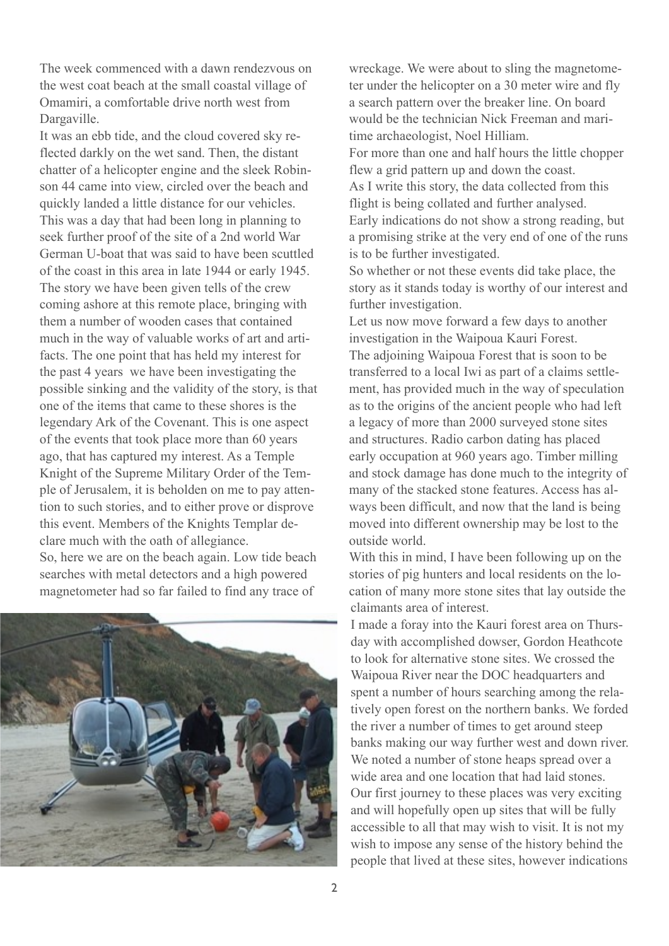The week commenced with a dawn rendezvous on the west coat beach at the small coastal village of Omamiri, a comfortable drive north west from Dargaville.

It was an ebb tide, and the cloud covered sky reflected darkly on the wet sand. Then, the distant chatter of a helicopter engine and the sleek Robinson 44 came into view, circled over the beach and quickly landed a little distance for our vehicles. This was a day that had been long in planning to seek further proof of the site of a 2nd world War German U-boat that was said to have been scuttled of the coast in this area in late 1944 or early 1945. The story we have been given tells of the crew coming ashore at this remote place, bringing with them a number of wooden cases that contained much in the way of valuable works of art and artifacts. The one point that has held my interest for the past 4 years we have been investigating the possible sinking and the validity of the story, is that one of the items that came to these shores is the legendary Ark of the Covenant. This is one aspect of the events that took place more than 60 years ago, that has captured my interest. As a Temple Knight of the Supreme Military Order of the Temple of Jerusalem, it is beholden on me to pay attention to such stories, and to either prove or disprove this event. Members of the Knights Templar declare much with the oath of allegiance. So, here we are on the beach again. Low tide beach searches with metal detectors and a high powered magnetometer had so far failed to find any trace of



wreckage. We were about to sling the magnetometer under the helicopter on a 30 meter wire and fly a search pattern over the breaker line. On board would be the technician Nick Freeman and maritime archaeologist, Noel Hilliam.

For more than one and half hours the little chopper flew a grid pattern up and down the coast. As I write this story, the data collected from this flight is being collated and further analysed. Early indications do not show a strong reading, but a promising strike at the very end of one of the runs is to be further investigated.

So whether or not these events did take place, the story as it stands today is worthy of our interest and further investigation.

Let us now move forward a few days to another investigation in the Waipoua Kauri Forest. The adjoining Waipoua Forest that is soon to be transferred to a local Iwi as part of a claims settlement, has provided much in the way of speculation as to the origins of the ancient people who had left a legacy of more than 2000 surveyed stone sites and structures. Radio carbon dating has placed early occupation at 960 years ago. Timber milling and stock damage has done much to the integrity of many of the stacked stone features. Access has always been difficult, and now that the land is being moved into different ownership may be lost to the outside world.

With this in mind, I have been following up on the stories of pig hunters and local residents on the location of many more stone sites that lay outside the claimants area of interest.

I made a foray into the Kauri forest area on Thursday with accomplished dowser, Gordon Heathcote to look for alternative stone sites. We crossed the Waipoua River near the DOC headquarters and spent a number of hours searching among the relatively open forest on the northern banks. We forded the river a number of times to get around steep banks making our way further west and down river. We noted a number of stone heaps spread over a wide area and one location that had laid stones. Our first journey to these places was very exciting and will hopefully open up sites that will be fully accessible to all that may wish to visit. It is not my wish to impose any sense of the history behind the people that lived at these sites, however indications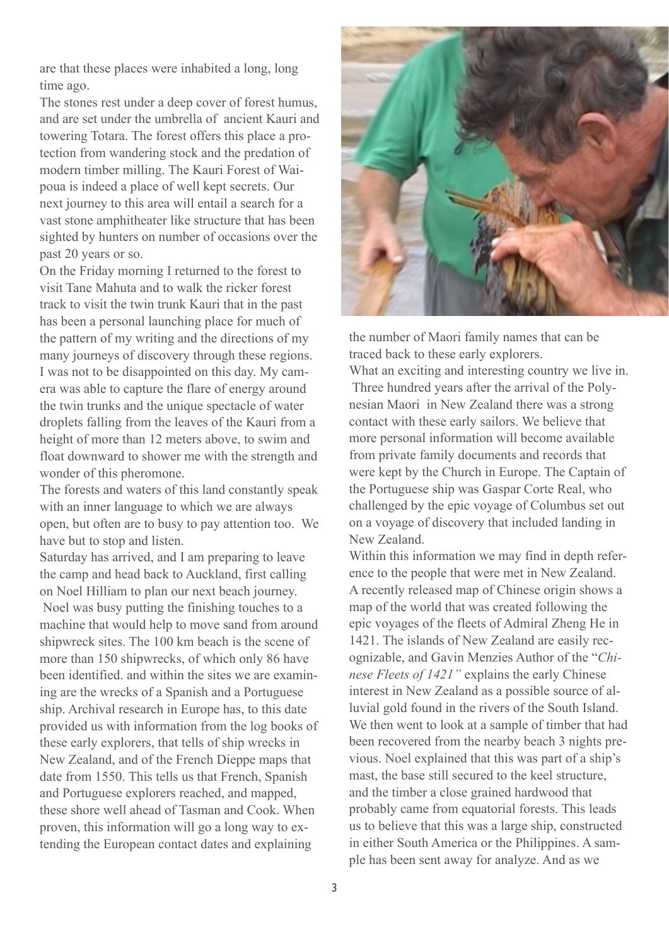are that these places were inhabited a long, long time ago.

The stones rest under a deep cover of forest humus, and are set under the umbrella of ancient Kauri and towering Totara. The forest offers this place a protection from wandering stock and the predation of modern timber milling. The Kauri Forest of Waipoua is indeed a place of well kept secrets. Our next journey to this area will entail a search for a vast stone amphitheater like structure that has been sighted by hunters on number of occasions over the past 20 years or so.

On the Friday morning I returned to the forest to visit Tane Mahuta and to walk the ricker forest track to visit the twin trunk Kauri that in the past has been a personal launching place for much of the pattern of my writing and the directions of my many journeys of discovery through these regions. I was not to be disappointed on this day. My camera was able to capture the flare of energy around the twin trunks and the unique spectacle of water droplets falling from the leaves of the Kauri from a height of more than 12 meters above, to swim and float downward to shower me with the strength and wonder of this pheromone.

The forests and waters of this land constantly speak with an inner language to which we are always open, but often are to busy to pay attention too. We have but to stop and listen.

Saturday has arrived, and I am preparing to leave the camp and head back to Auckland, first calling on Noel Hilliam to plan our next beach journey. Noel was busy putting the finishing touches to a machine that would help to move sand from around shipwreck sites. The 100 km beach is the scene of more than 150 shipwrecks, of which only 86 have been identified. and within the sites we are examining are the wrecks of a Spanish and a Portuguese ship. Archival research in Europe has, to this date provided us with information from the log books of these early explorers, that tells of ship wrecks in New Zealand, and of the French Dieppe maps that date from 1550. This tells us that French, Spanish and Portuguese explorers reached, and mapped, these shore well ahead of Tasman and Cook. When proven, this information will go a long way to extending the European contact dates and explaining



the number of Maori family names that can be traced back to these early explorers.

What an exciting and interesting country we live in. Three hundred years after the arrival of the Polynesian Maori in New Zealand there was a strong contact with these early sailors. We believe that more personal information will become available from private family documents and records that were kept by the Church in Europe. The Captain of the Portuguese ship was Gaspar Corte Real, who challenged by the epic voyage of Columbus set out on a voyage of discovery that included landing in New Zealand.

Within this information we may find in depth reference to the people that were met in New Zealand. A recently released map of Chinese origin shows a map of the world that was created following the epic voyages of the fleets of Admiral Zheng He in 1421. The islands of New Zealand are easily recognizable, and Gavin Menzies Author of the "*Chinese Fleets of 1421"* explains the early Chinese interest in New Zealand as a possible source of alluvial gold found in the rivers of the South Island. We then went to look at a sample of timber that had been recovered from the nearby beach 3 nights previous. Noel explained that this was part of a ship's mast, the base still secured to the keel structure, and the timber a close grained hardwood that probably came from equatorial forests. This leads us to believe that this was a large ship, constructed in either South America or the Philippines. A sample has been sent away for analyze. And as we